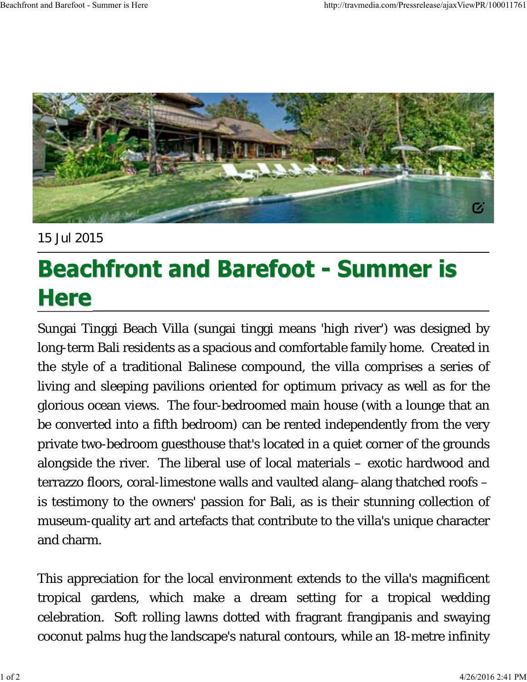

15 Jul 2015

## **Beachfront and Barefoot - Summer is Here**

Sungai Tinggi Beach Villa (sungai tinggi means 'high river') was designed by long-term Bali residents as a spacious and comfortable family home. Created in the style of a traditional Balinese compound, the villa comprises a series of living and sleeping pavilions oriented for optimum privacy as well as for the glorious ocean views. The four-bedroomed main house (with a lounge that an be converted into a fifth bedroom) can be rented independently from the very private two-bedroom guesthouse that's located in a quiet corner of the grounds alongside the river. The liberal use of local materials – exotic hardwood and terrazzo floors, coral-limestone walls and vaulted alang–alang thatched roofs – is testimony to the owners' passion for Bali, as is their stunning collection of museum-quality art and artefacts that contribute to the villa's unique character and charm.

This appreciation for the local environment extends to the villa's magnificent tropical gardens, which make a dream setting for a tropical wedding celebration. Soft rolling lawns dotted with fragrant frangipanis and swaying coconut palms hug the landscape's natural contours, while an 18-metre infinity